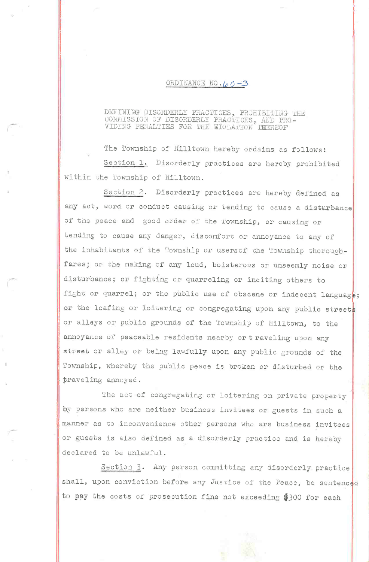## ORDINANCE NO.  $60 - 3$

## DEFINING DISORDERLY PRACTICES, PROHIBITING THE COMMISSION OF DISORDERLY PRACTICES, AND PRO-VIDING PENALTIES FOR THE EIOLATION THEREOF

The Township of Hilltown hereby ordains as follows: Section 1. Disorderly practices are hereby prohibited within the Township of Hilltown.

Section 2. Disorderly practices are hereby defined as any act, word or conduct causing or tending to cause a disturbance of the peace and good order of the Township, or causing or tending to cause any danger, discomfort or annoyance to any of the inhabitants of the Township or users of the Township thoroughfares; or the making of any loud, boisterous or unseemly noise or disturbance; or fighting or quarreling or inciting others to fight or quarrel; or the public use of obscene or indecent language; or the loafing or loitering or congregating upon any public streets or alleys or public grounds of the Township of Hilltown, to the annoyance of peaceable residents nearby or traveling upon any street or alley or being lawfully upon any public grounds of the Township, whereby the public peace is broken or disturbed or the traveling annoyed.

The act of congregating or loitering on private property by persons who are neither business invitees or guests in such a manner as to inconvenience other persons who are business invitees or guests is also defined as a disorderly practice and is hereby declared to be unlawful.

Section 3. Any person committing any disorderly practice shall, upon conviction before any Justice of the Peace, be sentenced to pay the costs of prosecution fine not exceeding \$300 for each